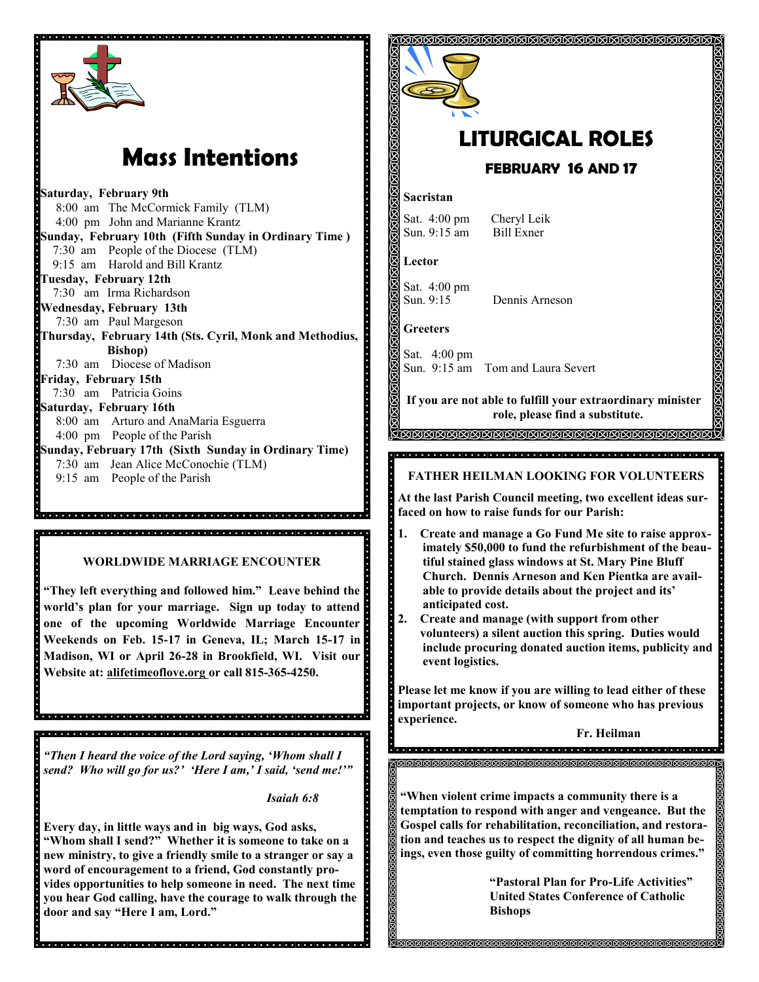

# **Mass Intentions**

**Saturday, February 9th** 8:00 am The McCormick Family (TLM) 4:00 pm John and Marianne Krantz **Sunday, February 10th (Fifth Sunday in Ordinary Time )** 7:30 am People of the Diocese (TLM) 9:15 am Harold and Bill Krantz **Tuesday, February 12th** 7:30 am Irma Richardson **Wednesday, February 13th** 7:30 am Paul Margeson **Thursday, February 14th (Sts. Cyril, Monk and Methodius, Bishop)** 7:30 am Diocese of Madison **Friday, February 15th** 7:30 am Patricia Goins **Saturday, February 16th**  8:00 am Arturo and AnaMaria Esguerra 4:00 pm People of the Parish **Sunday, February 17th (Sixth Sunday in Ordinary Time)** 7:30 am Jean Alice McConochie (TLM) 9:15 am People of the Parish

#### **WORLDWIDE MARRIAGE ENCOUNTER**

r de la ciencia de la ciencia de la ciencia de la ciencia de la ciencia de la ciencia de la ciencia de la cienc

**"They left everything and followed him." Leave behind the world's plan for your marriage. Sign up today to attend one of the upcoming Worldwide Marriage Encounter Weekends on Feb. 15-17 in Geneva, IL; March 15-17 in Madison, WI or April 26-28 in Brookfield, WI. Visit our Website at: alifetimeoflove.org or call 815-365-4250.**

*"Then I heard the voice of the Lord saying, 'Whom shall I send? Who will go for us?' 'Here I am,' I said, 'send me!'"*

a la lata lata la lata la lata la lata la lata la lata la lata la lata la lata lata lata lata lata lata lata lata lata la 

*Isaiah 6:8*

**Every day, in little ways and in big ways, God asks, "Whom shall I send?" Whether it is someone to take on a new ministry, to give a friendly smile to a stranger or say a word of encouragement to a friend, God constantly provides opportunities to help someone in need. The next time you hear God calling, have the courage to walk through the door and say "Here I am, Lord."**



## **LITURGICAL ROLES FEBRUARY 16 AND 17**

#### **Sacristan**

Sat. 4:00 pm Cheryl Leik Sun. 9:15 am Bill Exner

**Lector**

Sat. 4:00 pm<br>Sun. 9:15 Dennis Arneson

**Greeters**

 $\ddot{\cdot}$ 

Sat. 4:00 pm Sun. 9:15 am Tom and Laura Severt

**If you are not able to fulfill your extraordinary minister role, please find a substitute.** 

#### **FATHER HEILMAN LOOKING FOR VOLUNTEERS**

**At the last Parish Council meeting, two excellent ideas surfaced on how to raise funds for our Parish:**

- . . . . . . . . . . . **1. Create and manage a Go Fund Me site to raise approx imately \$50,000 to fund the refurbishment of the beau tiful stained glass windows at St. Mary Pine Bluff Church. Dennis Arneson and Ken Pientka are avail able to provide details about the project and its' anticipated cost.**
- . . . . . . . . . . **2. Create and manage (with support from other volunteers) a silent auction this spring. Duties would include procuring donated auction items, publicity and event logistics.**

**Please let me know if you are willing to lead either of these important projects, or know of someone who has previous experience.** 

> **Fr. Heilman**  ,,,,,,,,,,,,,,,,,,,,,,,,,,,,,

**"When violent crime impacts a community there is a temptation to respond with anger and vengeance. But the Gospel calls for rehabilitation, reconciliation, and restoration and teaches us to respect the dignity of all human beings, even those guilty of committing horrendous crimes."**

> **"Pastoral Plan for Pro-Life Activities" United States Conference of Catholic Bishops**